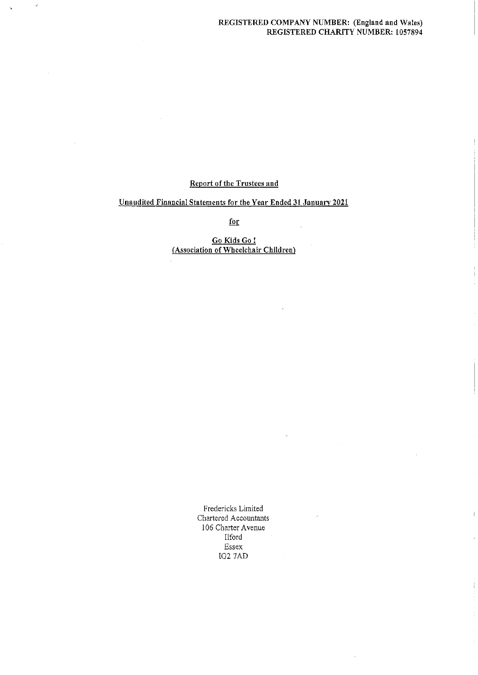# REGISTERED COMPANY NUMBER: (England and Wales) REGISTERED CHARITY NUMBER: 1057894

# Report of the Trustees and

 $\hat{r}$ 

# Unaudited Financial Statements for the Year Ended 31 January 2021

for

Go Kids Go <sup>I</sup> (Association of Wheelchair Children)

> Fredericks Limited Chartered Accountants l 06 Charter Avenue Ilfotd Essex IG2 7AD

İ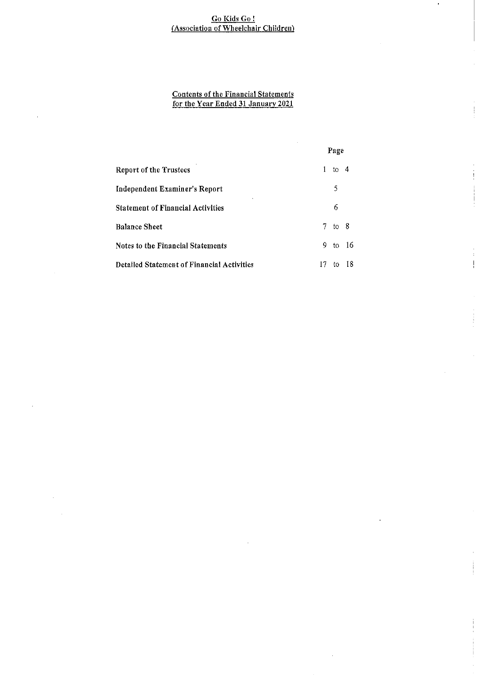# Go Kids Go! <u>Association of Wheelchair Childre</u>

# <u>Contents of the Financial Statemen</u> <u>for the Year Ended 31 January 2021</u>

 $\bar{z}$ 

|                                                   |    | Page       |    |
|---------------------------------------------------|----|------------|----|
| <b>Report of the Trustees</b>                     |    | to 4       |    |
| Independent Examiner's Report                     |    | 5          |    |
| <b>Statement of Financial Activities</b>          |    | 6          |    |
| <b>Balance Sheet</b>                              |    | $7$ to $8$ |    |
| Notes to the Financial Statements                 | 9. | to 16      |    |
| <b>Detailed Statement of Financial Activities</b> | 17 | t٥         | 18 |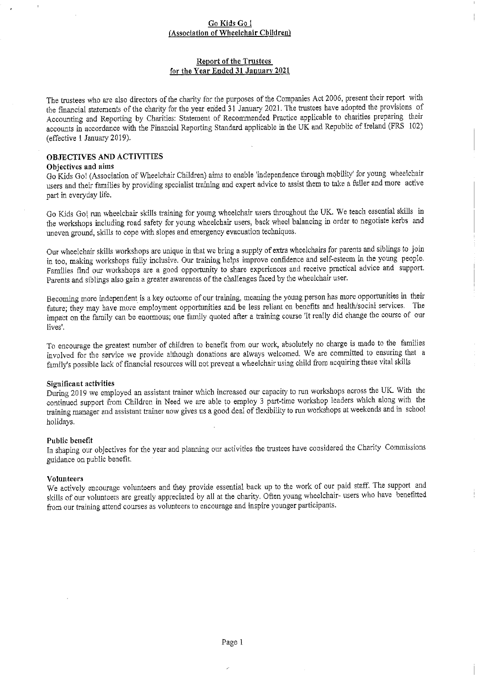# Report of the Trustees for the Year Ended 31 January 2021

The trustees who are also directors of the charity for the purposes of the Companies Act 2006, present their report with the financial statements of the charity for the year en'ded <sup>31</sup> January 2021. The trustees have adopted the provisions of Accounting and Reporting by Charities: Statement of Recommended Practice applicable to charities preparing their accounts in accordance with tbe Financial Reporting Standard applicable in the UK and Republic of Ireland (FRS 102) (effective <sup>1</sup> January 2019),

# OBJECTIVES AND ACTIVITIES

### Objectives and aims

Go Kids Go! (Association of Wheelchair Children) aims to enable 'independence through mobility' for young wheelchair users and their families by providing specialist training and expert advice to assist them to take <sup>a</sup> fuller and more active part in everyday life.

Go Kids Go! run wheelchair skills training for young wheelchair users throughout the UK. We teach essential skills in the workshops including road safety for young wheelchair users, back wheel balancing in order to negotiate kerbs and uneven ground, skills to cope with slopes and emergency evacuation techniques.

Our wheelchair skills workshops are unique in that we bring <sup>a</sup> supply of extra wheelcbairs for parents and siblings to join in too, making workshops fully inclusive. Our training helps improve confidence and self-esteem in the young people. Families find our workshops are a good opportunity to share experiences and receive practical advice and support. Parents and siblings also gain a greater awareness of the challenges faced by the wheelchair user.

Becoming more independent is a key outcome of our training, meaning the young person has more opportunities in their future; they may have more employment opportunities and be less reliant on benefits and health/social services. Tbe impact on the family can be enormous; one family quoted after a training course 'It really did change the course of our lives'.

To encourage the greatest number of children to benefit fiom our work, absolutely no charge is made to the families involved for the service we provide although donations are always welcomed. We are committed to ensuring that <sup>a</sup> family's possible lack of financial resources will not prevent a wheelchair using child from acquiring these vital skills

# Significant activities

During 2019 we employed an assistant trainer which increased our capacity to run workshops across the UK. With the continued support fiom Children in Need we are able to employ <sup>3</sup> part-time workshop leaders which along with the training manager and assistant trainer now gives us a good deal of fiexibility to ruu workshops at weekends and in school holidays.

#### Public benefit

In shaping our objectives for the year and planning our activities the trustees have considered the Charity Commissions guidance on pubLic benefit.

# Volunteers

We actively encourage volunteers and they provide essential back up to the work of our paid staff. The support and skills of our volunteers are greatly appreciated by all at the charity. Ofien young wheelchair- users who have benefitted from our training attend courses as volunteers to encourage and inspire younger participants.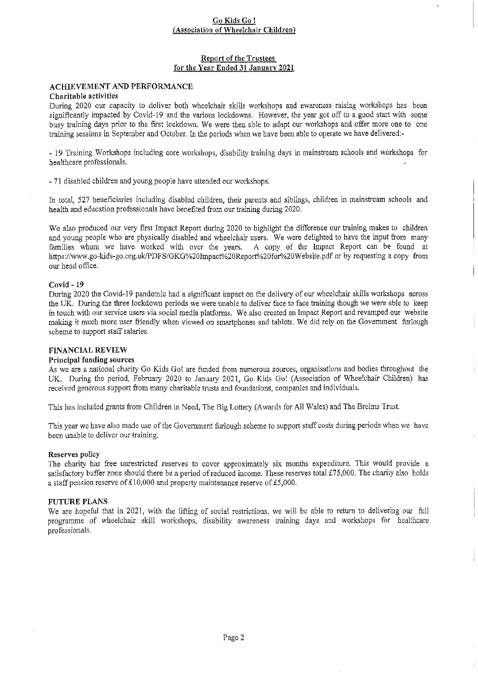# Report of the Trustees for the Year Ended 31 January 2021

### **ACHIEVEMENT AND PERFORMANCE** Charitable activities

During 2020 our capacity to deliver both wheelchair skills workshops and awareness raising workshops has been significantly impacted by Covid-19 and the varions lockdowns. However, the year got off to a good start with some busy training days prior to the first lockdown. We were then able to adapt our workshops and offer more one to one training sessions in September and October. In the periods when we have been able to operate we have delivered;-

- 19 Training Workshops including core workshops, disability training days in mainstream schools and workshops for healthcare professionals.

- 71 disabled children and young people have attended our workshops.

In total, 527 beneficiaries including disabled children, their parents and siblings, children in mainstream schools and health and education professionals have benefited fiom our training during 2020.

We also produced our very first Impact Report during 2020 to highlight the difference our training makes to children and young people who are physically disabled and wheelchair users. We were delighted to have the input from many families whom we have worked with over the years. A copy of the Impact Report can be found at https://www.go-kids-go.org.uk/PDFS/GKG%20Impact%20Report%20for%20Website.pdf or by requesting a copy from our head office.

# Covid - 19

During 2020 the Covid-19 pandemic had a significant impact on the delivery of our wheelchair skills workshops across the UK. During the three lockdown periods we were unable to deliver face to face training though we were able to keep in touch with our service users via social media platforms. We also created an Impact Report and revamped our website making it much more user friendly when viewed on smartphones and tablets. We did rely on the Govenunent furlough scheme to support staff salaries.

# FINANCIAL REVIEW

# Principal funding sources

As we are a national charity Go Kids Go! are funded from numerous sources, organisations and bodies throughout the UK. During the period, February 2020 to January 2021, Go Kids Go! (Associafion of Wheelchair Children) has received generous support from many charitable trusts and foundations, companies and individuals.

This has included grants ffom Children in Need, The Big Lottery (Awards for All Wales) and The Brelms Trust.

This year we have also made use of the Govenunent furlough scheme to support staff costs during periods when we have been unable to deliver our training,

# Reserves policy

The charity has fice unrestricted reserves to cover approximately six months expenditure. This would provide a satisfactory buffer zone should there be a period of reduced income. These reserves total £75,000. The charity also holds a staff pension reserve of £10,000 and property maintenance reserve of £5,000.

# FUTURE PLANS

We are hopeful that in 2021, with the lifting of social restrictions, we will be able to return to delivering our full programme of wheelchair skill workshops, disability awareness training days and workshops for healthcare professionals.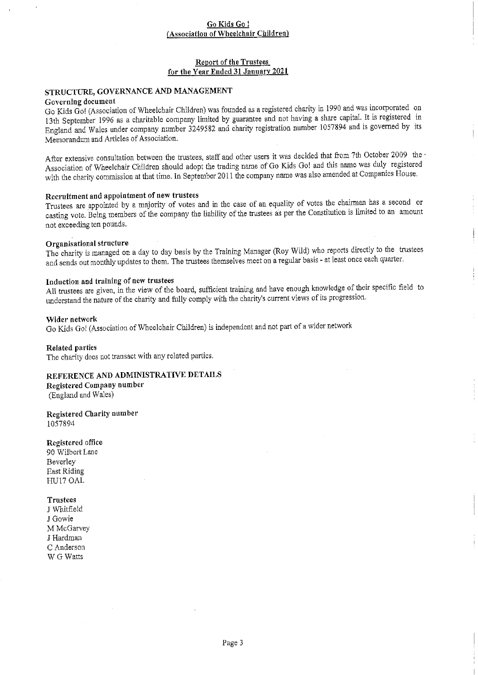## Report of the Trustees for the Year Ended 31 January 2021

# STRUCTURE, GOVERNANCE AND MANAGEMENT

### Governing document

Go Kids Gol (Association of Wheelchair Children) was founded as <sup>a</sup> registered charity in <sup>1990</sup> and was incorporated on 13th September <sup>1996</sup> as <sup>a</sup> charitable company limited by guarantee and not having <sup>a</sup> share capital. It is registered in England and Wales under company number <sup>3249582</sup> and charity registration number <sup>1057894</sup> and is governed by its Memorandum and Articles of Association.

After extensive consultation between the trustees, staff and other users it was decided that from 7th October 2009 the Association of Wheelchair Children should adopt the trading name of Go Kids Gol and this name was duly registered with the charity commission at that time. In September 2011 the company name was also amended at Companies House.

# Recruitment and appointment of new trustees

Trustees are appointed by <sup>a</sup> majority of votes and in the case of an equality of votes the chairman has <sup>a</sup> second or casting vote. Being members of the company the liability of the trustees as per the Constitution is limited to an amount not exceeding ten pounds.

#### Organisational structure

The charity is managed on <sup>a</sup> day to day basis by the Training Manager (Roy Wild) who reports directly to the trustees and sends out monthly updates to them. The trustees themselves meet on a regular basis - at least once each quarter.

# Induction and traluing of new trustees

All trustees are given, in the view of the board, sufficient training and have enough knowledge of their specific field to understand the nature of the charity and fully comply with the charity's current views of its progression.

Wider network Go Kids Gol (Association of Wheelchair Children) is independent and not part of <sup>a</sup> wider network

Related parties

The charity does not transact with any related parties.

# REFERENCE AND ADMINISTRATIVE DETAILS

Registered Company number (England and Wales)

Registered Charity number 1057894

### Registered office

90 Wilbert Lane Beverley East Riding HU17 OAL

#### **Trustees**

J Whitfie1d J Gowie M McGarvey J Hardman C Anderson W G Watts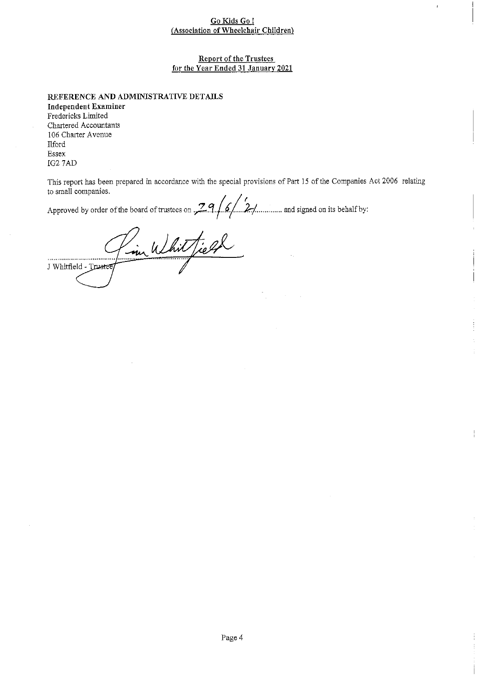# Report of the Trustees for the Year Ended 31 January 2021

REFERENCE AND ADMINISTRATIVE DETAILS

Independent Examiner Fredericks Limited Chartered Accountants 106 Charter Avenue **Ilford** Essex IG2 7AD

This report has been prepared in accordance with the special provisions of Part 15 of the Companies Act 2006 relating to small companies.

to small companies. Approved by order of the board of trustees on  $\frac{29}{6}$  6. 2............. and signed on its behalf by:

im Whitfield ,,,,,,,,,,,,,,,,,,,,,,,,,,,,,,,,, . . <u>. . . . .</u> 1 Whitfield - T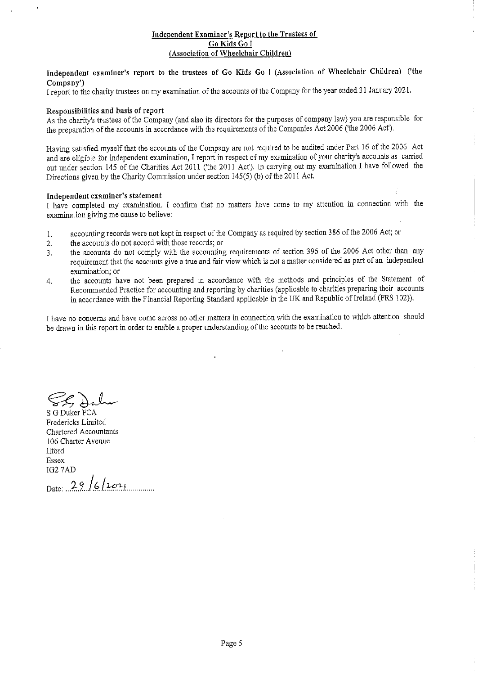# Independent Examiner's Report to the Trustees of Go Kids Go <sup>I</sup> Association of Wheelchair Children

# Independent examiner's report to the trustees of Go Kids Go <sup>I</sup> (Association of Wheelchair Children) ('the Company')

I report to the charity trustees on my examination of the accounts of the Company for the year ended 31 January 2021.

# Responsibilities and basis of report

As the charity's trustees of the Company (and also its directors for the purposes of company law) you are responsible for the preparation of the accounts in accordance with the requirements of the Companies Act 2006 ('the 2006 Act').

Having satisfied myself that the accounts of the Company are not required to be audited under Part 16 of the 2006 Act and are eligible for independent examination, I report in respect of my examination of your charity's accounts as carried out under section 145 of the Charities Act 2011 ('the 2011 Act'). In canying out my examination I have followed the Directions given by the Charity Commission under section  $145(5)$  (b) of the 2011 Act.

### Independent examiner's statement

I have completed my examination. I confirm that no matters have come to my attention in connection with the examination giving me cause to believe;

- I. accounting records were not kept in respect of the Company as required by section 386 of the 2006 Act; or
- 2. the accounts do not accord with those records; or
- 3. the accounts do not comply with the accounting requirements of section 396 of the 2006 Act other than any requitement that the accounts give a true and fair view which is not <sup>a</sup> matter considered as part of an independent examination; or
- the accounts have not been prepared in accordance with the methods and principles of the Statement of 4. Recommended Practice for accounting and reporting by charities (applicable to charities preparing their accounts in accordance with the Financial Reporting Standard applicable in the UK and Republic of Ireland (FRS 102)).

I have no concerns and have come across no other matters in connection with the examination to which attention should be drawn in this report in order to enable a proper understanding of the accounts to be reached.

S G Duker FCA Fredericks Limited Chartered Accountants 106 Charter Avenue Ilford Essex IG2 7AD

Date: 29/6/2021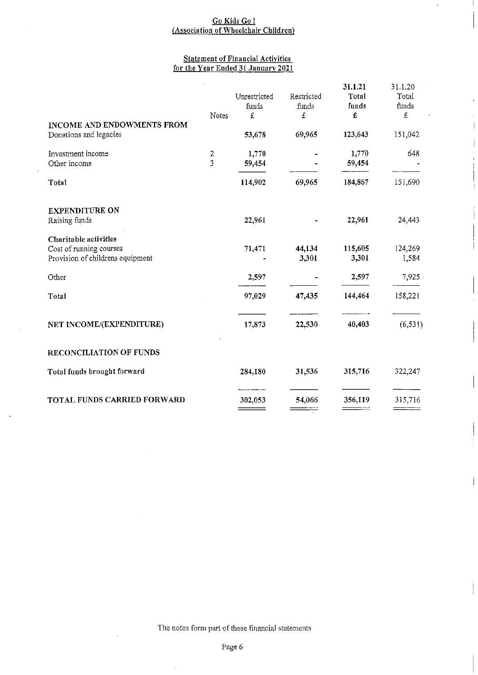# <u>Go Kids Go i</u> <u>Association of Wheelchair Childre</u>

 $\bar{1}$ 

# <u>Statement of Financial Activitie</u> <u>for the Year Ended 31 January 2021</u>

|                                                                                      | Notes                            | Unrestricted<br>funds<br>£ | Restricted<br>funds<br>£ | 31.1.21<br>Total<br>funds<br>£ | 31.1.20<br>Total<br>funds<br>£ |
|--------------------------------------------------------------------------------------|----------------------------------|----------------------------|--------------------------|--------------------------------|--------------------------------|
| <b>INCOME AND ENDOWMENTS FROM</b><br>Donations and legacies                          |                                  | 53,678                     | 69,965                   | 123,643                        | 151,042                        |
| Investment income<br>Other income                                                    | $\overline{2}$<br>$\overline{3}$ | 1,770<br>59,454            |                          | 1,770<br>59,454                | 648                            |
| Total                                                                                |                                  | 114,902                    | 69,965                   | 184,867                        | 151,690                        |
| <b>EXPENDITURE ON</b><br>Raising funds                                               |                                  | 22.961                     |                          | 22,961                         | 24,443                         |
| Charitable activities<br>Cost of running courses<br>Provision of childrens equipment |                                  | 71,471                     | 44,134<br>3,301          | 115,605<br>3,301               | 124,269<br>1,584               |
| Other                                                                                |                                  | 2,597                      |                          | 2,597                          | 7,925                          |
| Total                                                                                |                                  | 97,029                     | 47.435                   | 144,464                        | 158,221                        |
| NET INCOME/(EXPENDITURE)                                                             |                                  | 17,873                     | 22,530                   | 40,403                         | (6, 531)                       |
| RECONCILIATION OF FUNDS                                                              |                                  |                            |                          |                                |                                |
| Total funds brought forward                                                          |                                  | 284,180                    | 31,536                   | 315,716                        | 322,247                        |
| TOTAL FUNDS CARRIED FORWARD                                                          |                                  | 302,053                    | 54,066                   | 356,119                        | 315,716                        |

The notes form part of these financial statements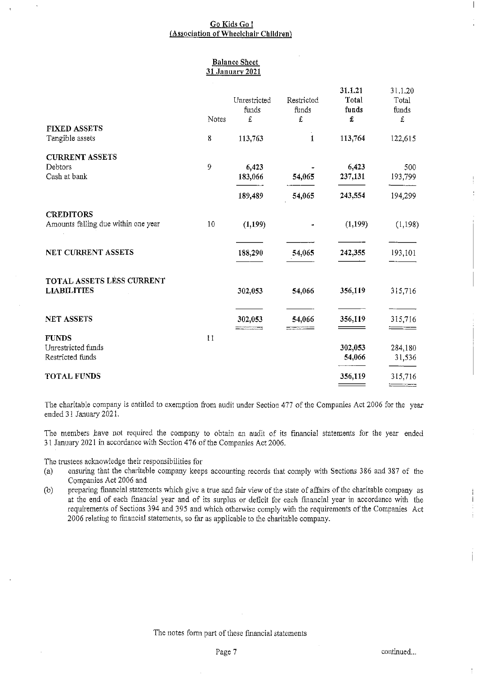### Balance Sheet 31 January 2021

|                                                         |       | Unrestricted<br>funds | Restricted<br>funds | 31.1.21<br>Total<br>funds | 31 1.20<br>Total<br>funds |
|---------------------------------------------------------|-------|-----------------------|---------------------|---------------------------|---------------------------|
| <b>FIXED ASSETS</b>                                     | Notes | £                     | £                   | £                         | £                         |
| Tangible assets                                         | 8     | 113,763               | $\mathbf{I}$        | 113,764                   | 122,615                   |
| <b>CURRENT ASSETS</b>                                   |       |                       |                     |                           |                           |
| Debtors<br>Cash at bank                                 | 9     | 6,423<br>183,066      | 54,065              | 6,423<br>237,131          | 500<br>193,799            |
|                                                         |       | 189,489               | 54,065              | 243,554                   | 194,299                   |
| <b>CREDITORS</b><br>Amounts falling due within one year | 10    | (1, 199)              |                     | (1,199)                   | (1, 198)                  |
| NET CURRENT ASSETS                                      |       | 188,290               | 54,065              | 242,355                   | 193,101                   |
| TOTAL ASSETS LESS CURRENT<br><b>LIABILITIES</b>         |       | 302,053               | 54,066              | 356,119                   | 315,716                   |
| <b>NET ASSETS</b>                                       |       | 302,053               | 54,066              | 356,119                   | 315,716                   |
| <b>FUNDS</b>                                            | 11    |                       |                     |                           |                           |
| Unrestricted funds                                      |       |                       |                     | 302,053                   | 284,180                   |
| Restricted funds                                        |       |                       |                     | 54,066                    | 31,536                    |
| <b>TOTAL FUNDS</b>                                      |       |                       |                     | 356,119                   | 315,716                   |

The charitable company is entitled to exemption from audit under Section 477 of the Companies Act 2006 for the year ended 31 January 2021.

The members have uot required the company to obtain an audit of its financial statements for the year ended 31 January 2021 in accordance with Section 476 ofthe Companies Act 2006.

The trustees acknowledge their responsibilities for

- (a) ensuring that the charitable company keeps accounting records that comply with Sections 386 and 387 of the Companies Act 2006 and
- (b) preparing financial statements which give a true and fair view of the state of affairs of the charitable company as at the end of each financial year and of its surplus or deficit for each financial year in accordance with the requirements of Sections 394 and 395 and which otherwise comply with the requirements of the Companies Act 2006 relating to financial statements, so far as applicable to the charitable company.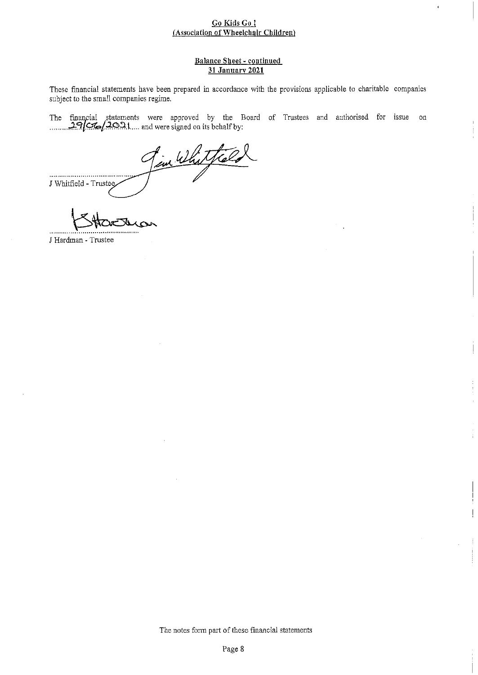# Balance Sheet - continued 31 January 2021

These financial statements have been prepared in accordance with the provisions applicable to charitable companies subject to the small companies regime.

The financial statements were approved by the Board of Trustees and authorised for issue or  $/20.21...$  and were signed on its behalf by:

Fin Whitfald ............................... I Whitfield - Trustee

J Hardman - Trustee

....

The notes form part of these financial statements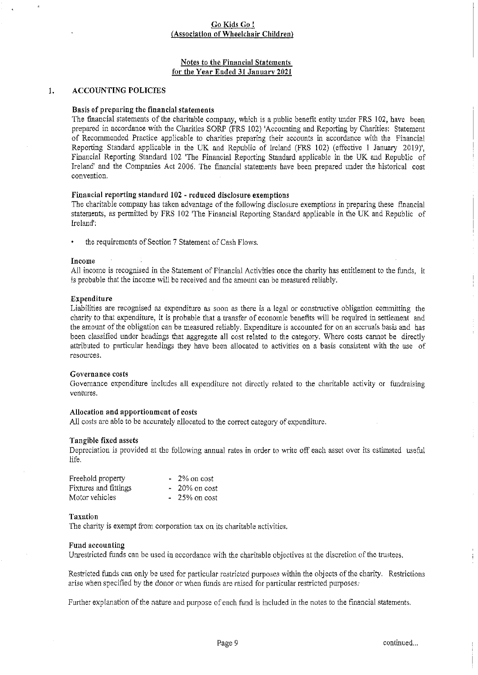# Notes to the Financial Statements for the Year Ended 31 January 2021

#### $1.$ ACCOUNTING POLICIES

#### Basis of preparing the financial statements

The financial statements of the charitable company, which is a public benefit entity under FRS 102, have been prepared in accordance with the Charities SORP (FRS 102) 'Accounting and Reporting by Charities: Statement of Recommended Practice applicable to charities preparing their accounts in accordance with the Financial Reporting Standard applicable in the UK and Republic of Ireland (FRS 102) (effective 1 January 2019)', Financial Reporting Standard 102 'The Financial Reporting Standard applicable in the UK and Republic of Ireland' and the Companies Act 2006, The financial statements have been prepared under the historical cost convention.

### Financial reporting standard 102 - reduced disclosure exemptions

The charitable company has taken advantage of the following disclosure exemptions in preparing these financial statements, as permitted by FRS 102 'The Financial Reporting Standard applicable in the UK and Republic of Ireland'.

the requirements of Section 7 Statement of Cash Flows.

#### Income

All income is recognised in the Statement of Financial Activities once the charity has entitlement to the funds, it is probable that the income will be received and the amount can be measured reliably.

#### Expenditure

Liabilities are recognised as expenditure as soon as there is a legal or constructive obligation committing the charity to that expenditure, it is probable that a transfer of economic benefits will be required in settlement and the amount of the obligation can be measured reliably. Expenditure is accounted for on an accruals basis and has been classified under headings that aggregate all cost related to the category. Where costs cannot be directly attributed to particular headings they have been allocated to activities on a basis consistent with the use of resources.

#### Governance costs

Governance expenditure includes all expenditure not directly related to the charitable activity or fundraising ventures.

#### Allocation and apportionment of costs

All costs are able to be accurately allocated to the correct category of expenditure.

#### Tangible fixed assets

Depreciation is provided at the following annual rates in order to write off each asset over its estimated useful life.

| Freehold property     | $-2\%$ on cost  |
|-----------------------|-----------------|
| Fixtures and fittings | $-20\%$ on cost |
| Motor vehicles        | $-25\%$ on cost |

#### Taxation

The charity is exempt from corporation tax on its charitable activities.

#### Fund accounting

Unrestricted funds can be used in accordance with the charitable objectives at the discretion ofthe trustees.

Restricted funds can only be used for particular restricted purposes within the objects of the charity. Restrictions arise when specified by the donor or when funds are raised for particular restricted purposes.

Further explanation of the nature and purpose of each fund is included in the notes to the financial statements.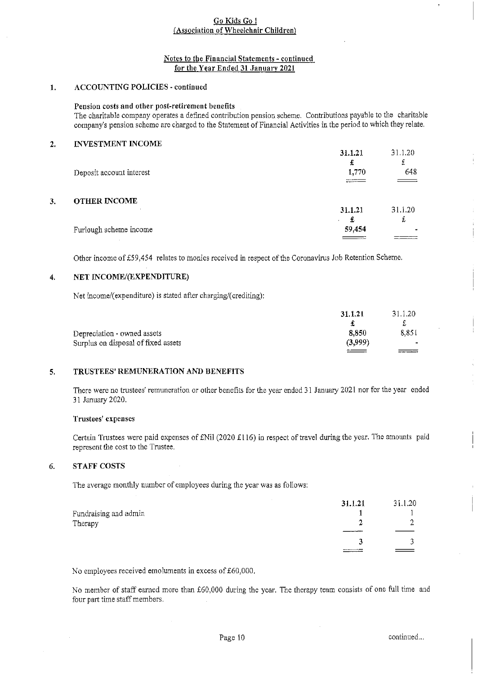# Notes to the Financial Statements - continued for the Year Ended 31 January 2021

# 1. ACCOUNTING POLICIES - continued

Pension costs and other post-retirement benefits

The charitable company operates a defined contribution pension scheme. Contributions payable to the charitable company's pension scheme are charged to the Statement of Financial Activities in the period to which they relate.

# 2. INVESTMENT INCOME

|    | Deposit account interest | 31.1.21<br>£<br>1,770 | 31.1.20<br>£<br>648<br>$ -$ |
|----|--------------------------|-----------------------|-----------------------------|
| 3. | <b>OTHER INCOME</b>      |                       |                             |
|    |                          | 31.1.21<br>£          | 31.1.20<br>t                |
|    | Furlough scheme income   | 59,454<br>____        |                             |

Other income of 559,454 relates to monies received in respect of the Coronavirus Job Retention Scheme.

# 4. NET INCOME/(EXPENDITURE)

Net income/(expenditure) is stated after charging/(crediting):

|                                     | 31.1.21 | 31.1.20 |
|-------------------------------------|---------|---------|
| Depreciation - owned assets         | 8.850   | 8851    |
| Surplus on disposal of fixed assets | (3.999) | $\sim$  |
|                                     |         |         |

# 5. TRUSTEES' REMUNERATION AND BENEFITS

There were no trustees' remuneration or other benefits for the year ended 31 January 2021 nor for the year ended 31 January 2020.

### Trustees' expenses

Certain Trustees were paid expenses of £Nil (2020 £116) in respect of travel during the year. The amounts paid represent the cost to the Trustee.

#### STAFF COSTS 6.

The average monthly number of employees during the year was as follows;

|                       | 31.1.21 | 31.1.20 |
|-----------------------|---------|---------|
| Fundraising and admin |         |         |
| Therapy               |         |         |
|                       |         |         |
|                       |         |         |
|                       |         |         |

No employees received emoluments in excess of £60,000.

No member of staff earned more than 560,000 during the year. The therapy team consists of one full time and four part time staff members.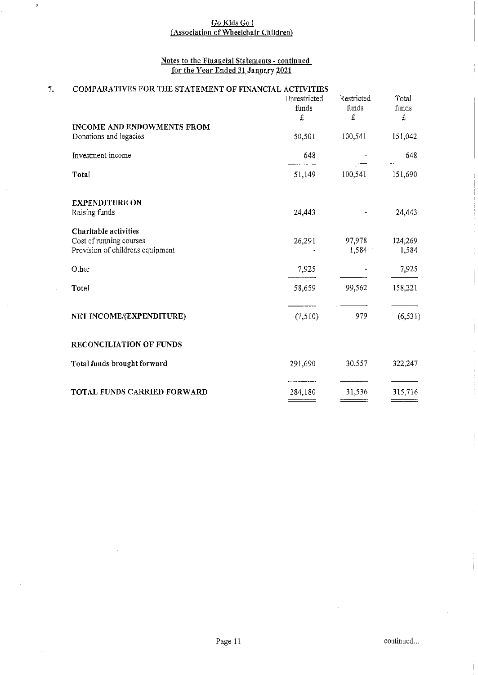# <u>Go Kids Go l</u> <u>Association of Wheelchair Childre</u>

 $\hat{\mathbf{c}}$ 

# Notes to the Financial Sta'tements - continued <u>for the Year Ended 31 January 2021</u>

| Restricted<br>Total |
|---------------------|
| funds<br>funds      |
| £                   |
|                     |
| 100,541<br>151,042  |
| 648                 |
| 100,541<br>151,690  |
|                     |
| 24,443              |
|                     |
| 124,269<br>97,978   |
| 1,584<br>1,584      |
| 7,925               |
| 99,562<br>158,221   |
| (6, 531)<br>979     |
|                     |
| 30,557<br>322,247   |
| 31.536<br>315,716   |
|                     |

 $\frac{1}{2}$ 

Ť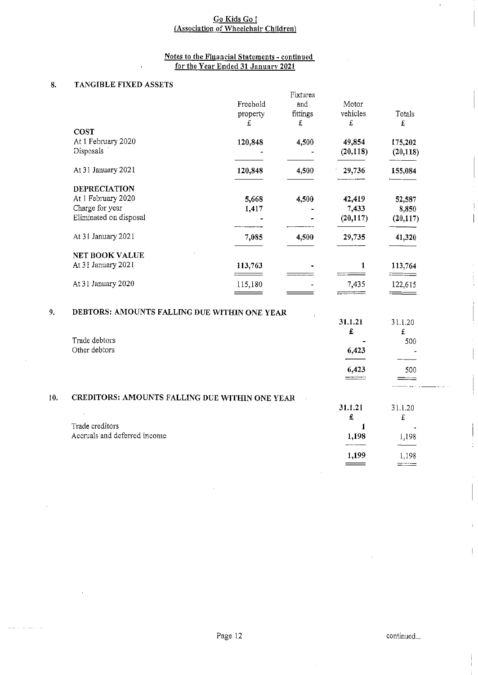# Notes to the Fluancial Statements - continued <u>for the Year Ended 31 January 2021</u>

÷.

# 8. TANGIBLE FIXED ASSETS

 $9<sub>1</sub>$ 

|                        |                                                                                                   | Fixtures                 |                                                                                                                          |                                                       |
|------------------------|---------------------------------------------------------------------------------------------------|--------------------------|--------------------------------------------------------------------------------------------------------------------------|-------------------------------------------------------|
|                        | Freehold                                                                                          | and                      | Motor                                                                                                                    |                                                       |
|                        |                                                                                                   |                          | vehicles                                                                                                                 | Totals                                                |
|                        |                                                                                                   |                          | £                                                                                                                        | £                                                     |
| COST                   |                                                                                                   |                          |                                                                                                                          |                                                       |
|                        |                                                                                                   |                          |                                                                                                                          | 175,202                                               |
|                        |                                                                                                   |                          |                                                                                                                          | (20, 118)                                             |
|                        |                                                                                                   |                          |                                                                                                                          |                                                       |
| At 31 January 2021     | 120,848                                                                                           | 4,500                    | 29,736                                                                                                                   | 155,084                                               |
| <b>DEPRECIATION</b>    |                                                                                                   |                          |                                                                                                                          |                                                       |
| At 1 February 2020     | 5,668                                                                                             | 4,500                    | 42,419                                                                                                                   | 52,587                                                |
| Charge for year        | 1,417                                                                                             |                          | 7,433                                                                                                                    | 8,850                                                 |
| Eliminated on disposal |                                                                                                   |                          | (20, 117)                                                                                                                | (20, 117)                                             |
| At 31 January 2021     | 7,085                                                                                             | 4,500                    | 29,735                                                                                                                   | 41,320                                                |
| <b>NET BOOK VALUE</b>  |                                                                                                   |                          |                                                                                                                          |                                                       |
| At 31 January 2021     | 113,763                                                                                           |                          | 1                                                                                                                        | 113,764                                               |
| At 31 January 2020     | 115,180                                                                                           |                          | 7,435                                                                                                                    | 122,615                                               |
|                        |                                                                                                   |                          |                                                                                                                          |                                                       |
|                        |                                                                                                   |                          |                                                                                                                          | 31.120                                                |
|                        |                                                                                                   |                          |                                                                                                                          | £                                                     |
|                        |                                                                                                   |                          |                                                                                                                          | 500                                                   |
|                        |                                                                                                   |                          |                                                                                                                          |                                                       |
|                        |                                                                                                   |                          |                                                                                                                          | 500                                                   |
|                        |                                                                                                   |                          |                                                                                                                          |                                                       |
|                        |                                                                                                   |                          |                                                                                                                          |                                                       |
|                        |                                                                                                   |                          | 31.1.21                                                                                                                  | 31.1.20                                               |
|                        |                                                                                                   |                          | £                                                                                                                        | £                                                     |
| Trade creditors        |                                                                                                   |                          | 1                                                                                                                        |                                                       |
|                        |                                                                                                   |                          | 1,198                                                                                                                    | 1,198                                                 |
|                        | At 1 February 2020<br>Disposals<br>Trade debtors<br>Other debtors<br>Accruals and deferred income | property<br>£<br>120,848 | fittings<br>£<br>4,500<br>DEBTORS: AMOUNTS FALLING DUE WITHIN ONE YEAR<br>CREDITORS: AMOUNTS FALLING DUE WITHIN ONE YEAR | 49,854<br>(20, 118)<br>31.1.21<br>£<br>6,423<br>6,423 |

 $\overline{\phantom{a}}$ 

 $\frac{1,199}{\qquad}$   $\frac{1,198}{\qquad}$ 

 $\bar{\psi}$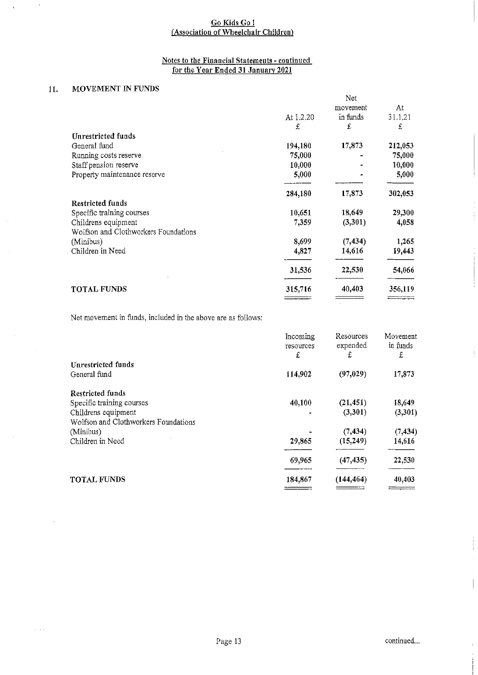# Notes to tbe Financial Statements - continued <u>for the Year Ended 31 January 2021</u>

# 11. MOVEMENT IN FUNDS

 $\ddot{\phantom{1}}$ 

|                                      |           | Net      |         |
|--------------------------------------|-----------|----------|---------|
|                                      |           | movement | At      |
|                                      | At 1.2.20 | in funds | 31.1.21 |
|                                      | £         | £        | £       |
| Unrestricted funds                   |           |          |         |
| General fund                         | 194,180   | 17,873   | 212,053 |
| Running costs reserve                | 75,000    |          | 75,000  |
| Staff pension reserve                | 10,000    |          | 10,000  |
| Property maintenance reserve         | 5,000     |          | 5,000   |
|                                      | 284,180   | 17,873   | 302,053 |
| <b>Restricted funds</b>              |           |          |         |
| Specific training courses            | 10,651    | 18,649   | 29,300  |
| Childrens equipment                  | 7,359     | (3,301)  | 4,058   |
| Wolfson and Clothworkers Foundations |           |          |         |
| (Minibus)                            | 8,699     | (7, 434) | 1,265   |
| Children in Need                     | 4,827     | 14,616   | 19,443  |
|                                      | 31,536    | 22,530   | 54,066  |
| <b>TOTAL FUNDS</b>                   | 315,716   | 40,403   | 356,119 |
|                                      |           |          |         |

Net movement in funds, included in the above are as follows:

|                                      | Incoming<br>resources<br>£ | Resources<br>expended<br>£ | Movement<br>in funds<br>£ |
|--------------------------------------|----------------------------|----------------------------|---------------------------|
| Unrestricted funds                   |                            |                            |                           |
| General fund                         | 114,902                    | (97, 029)                  | 17,873                    |
| <b>Restricted funds</b>              |                            |                            |                           |
| Specific training courses            | 40,100                     | (21, 451)                  | 18,649                    |
| Childrens equipment                  |                            | (3,301)                    | (3,301)                   |
| Wolfson and Clothworkers Foundations |                            |                            |                           |
| (Minibus)                            |                            | (7, 434)                   | (7, 434)                  |
| Children in Need                     | 29,865                     | (15,249)                   | 14,616                    |
|                                      | 69,965                     | (47, 435)                  | 22,530                    |
| <b>TOTAL FUNDS</b>                   | 184,867                    | (144, 464)                 | 40,403                    |
|                                      |                            |                            | ——————                    |

ł.

 $\bar{\bar{t}}$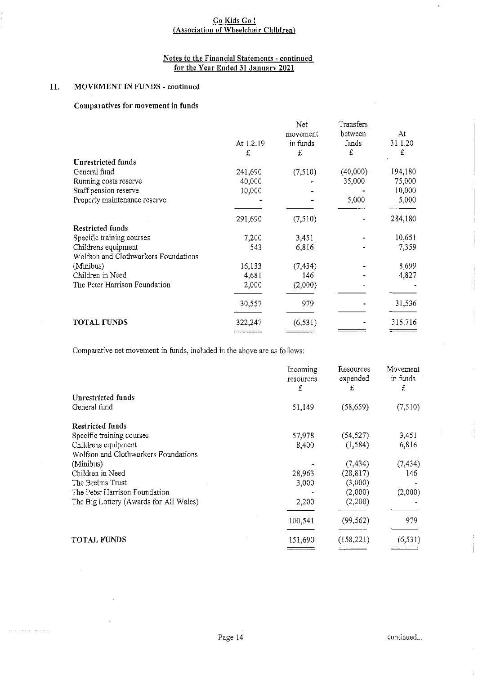# Notes to the Financial Statements - continued <u>for the Year Ended 31 January 2021</u>

# 11. MOVEMENT IN FUNDS - continued

 $\equiv$  1.11

# Comparatives for movement in funds

|                                      |           | Net      | Transfers |         |
|--------------------------------------|-----------|----------|-----------|---------|
|                                      |           | movement | between   | At      |
|                                      | At 1.2.19 | in funds | funds     | 31 1 20 |
|                                      | £         | £        | £         | £       |
| Unrestricted funds                   |           |          |           |         |
| General fund                         | 241,690   | (7,510)  | (40,000)  | 194,180 |
| Running costs reserve                | 40,000    |          | 35,000    | 75,000  |
| Staff pension reserve                | 10,000    |          |           | 10,000  |
| Property maintenance reserve         |           |          | 5,000     | 5,000   |
|                                      | 291,690   | (7,510)  |           | 284,180 |
| <b>Restricted funds</b>              |           |          |           |         |
| Specific training courses            | 7,200     | 3,451    |           | 10,651  |
| Childrens equipment                  | 543       | 6,816    |           | 7,359   |
| Wolfson and Clothworkers Foundations |           |          |           |         |
| (Minibus)                            | 16,133    | (7, 434) |           | 8,699   |
| Children in Need                     | 4,681     | 146      |           | 4,827   |
| The Peter Harrison Foundation        | 2,000     | (2,000)  |           |         |
|                                      | 30,557    | 979      |           | 31,536  |
| <b>TOTAL FUNDS</b>                   | 322,247   | (6, 531) |           | 315,716 |
|                                      |           |          |           |         |

Comparative net movement in funds, included in the above are as follows:

|                                        | Incoming<br>resources<br>£ | Resources<br>expended<br>£ | Movement<br>in funds<br>£ |
|----------------------------------------|----------------------------|----------------------------|---------------------------|
| Unrestricted funds                     |                            |                            |                           |
| General fund                           | 51,149                     | (58, 659)                  | (7,510)                   |
| Restricted funds                       |                            |                            |                           |
| Specific training courses              | 57,978                     | (54, 527)                  | 3,451                     |
| Childrens equipment                    | 8,400                      | (1, 584)                   | 6,816                     |
| Wolfson and Clothworkers Foundations   |                            |                            |                           |
| (Minibus)                              |                            | (7, 434)                   | (7, 434)                  |
| Children in Need                       | 28,963                     | (28, 817)                  | 146                       |
| The Brelms Trust                       | 3,000                      | (3,000)                    |                           |
| The Peter Harrison Foundation          |                            | (2,000)                    | (2,000)                   |
| The Big Lottery (Awards for All Wales) | 2,200                      | (2,200)                    |                           |
|                                        | 100,541                    | (99, 562)                  | 979                       |
| <b>TOTAL FUNDS</b>                     | 151,690                    | (158, 221)                 | (6, 531)                  |
|                                        |                            |                            |                           |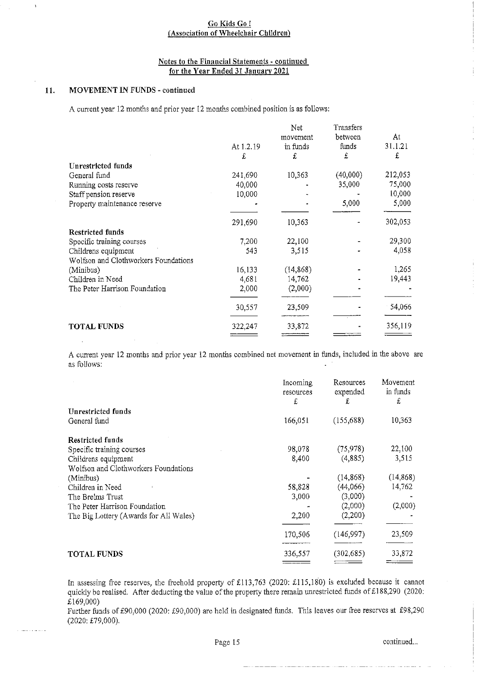# Notes to the Financial Statements - continued for the Year Ended 31 January 2021

### 11. MOVEMENT IN FUNDS - continued

 $\mathbf{r}$ 

A current year 12 months and prior year 12 months combined position is as follows:

|                                      |           | Net       | Transfers |         |
|--------------------------------------|-----------|-----------|-----------|---------|
|                                      |           | movement  | between   | At      |
|                                      | At 1.2.19 | in funds  | funds     | 31.1.21 |
|                                      | £         | £         | £         | £       |
| Unrestricted funds                   |           |           |           |         |
| General fund                         | 241,690   | 10,363    | (40,000)  | 212,053 |
| Running costs reserve                | 40,000    |           | 35,000    | 75,000  |
| Staff pension reserve                | 10,000    |           |           | 10,000  |
| Property maintenance reserve         |           |           | 5,000     | 5,000   |
|                                      | 291,690   | 10,363    |           | 302,053 |
| <b>Restricted funds</b>              |           |           |           |         |
| Specific training courses            | 7,200     | 22,100    |           | 29,300  |
| Childrens equipment                  | 543       | 3.515     |           | 4,058   |
| Wolfson and Clothworkers Foundations |           |           |           |         |
| (Minibus)                            | 16,133    | (14, 868) |           | 1,265   |
| Children in Need                     | 4,681     | 14,762    |           | 19,443  |
| The Peter Harrison Foundation        | 2,000     | (2,000)   |           |         |
|                                      | 30,557    | 23,509    |           | 54,066  |
| <b>TOTAL FUNDS</b>                   | 322,247   | 33,872    |           | 356,119 |
|                                      |           |           |           |         |

A current year 12 months and prior year 12 months combined net movement in funds, included in the above are as follows:

|                                        | Incoming<br>resources<br>£ | Resources<br>expended<br>£ | Movement<br>in funds<br>£ |
|----------------------------------------|----------------------------|----------------------------|---------------------------|
| Unrestricted funds                     |                            |                            |                           |
| General fund                           | 166.051                    | (155, 688)                 | 10,363                    |
| <b>Restricted funds</b>                |                            |                            |                           |
| Specific training courses              | 98,078                     | (75, 978)                  | 22,100                    |
| Childrens equipment                    | 8.400                      | (4,885)                    | 3,515                     |
| Wolfson and Clothworkers Foundations   |                            |                            |                           |
| (Minibus)                              |                            | (14, 868)                  | (14, 868)                 |
| Children in Need                       | 58.828                     | (44,066)                   | 14,762                    |
| The Brelms Trust                       | 3,000                      | (3,000)                    |                           |
| The Peter Harrison Foundation          |                            | (2,000)                    | (2,000)                   |
| The Big Lottery (Awards for All Wales) | 2,200                      | (2,200)                    |                           |
|                                        | 170.506                    | (146,997)                  | 23,509                    |
| <b>TOTAL FUNDS</b>                     | 336.557                    | (302, 685)                 | 33,872                    |

In assessing free reserves, the freehold property of £113,763 (2020: £115,180) is excluded because it cannot quickly be realised. After deducting the value of the property there remain unrestricted funds of £188,290 (2020: £169,000)

Further funds of £90,000 (2020: £90,000) are held in designated funds. This leaves our free reserves at £98,290 (2020; 879,000).

Page 15 continued...

÷

ŧ  $\bar{1}$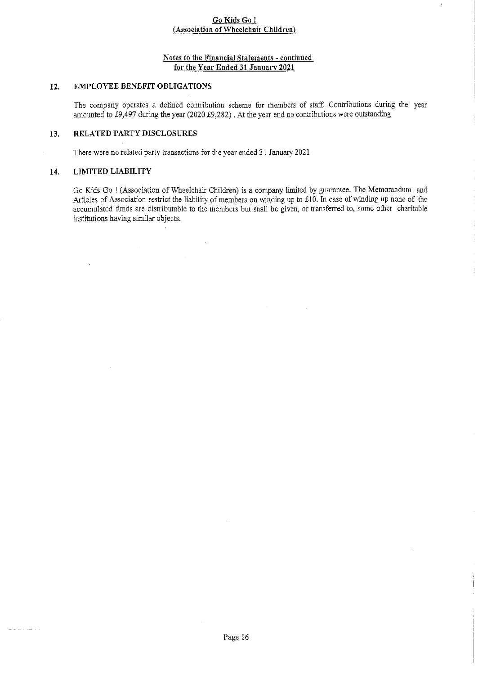# Notes to the Financial Statements - continued for the Year Ended 31 January 2021

# 12. EMPLOYEE BENEFIT OBLIGATIONS

The company operates a defined contribution scheme for members of staff. Contributions during the year amounted to  $\text{\emph{t}}9,497$  during the year (2020 £9,282). At the year end no contributions were outstanding

# 13. RELATED PARTY DISCLOSURES

There were no related party transactions for the year ended 31 January 2021.

# 14. LIMITED LIABILITY

and and company

Go Kids Go ! (Association of Wheelchair Children) is a company limited by guarantee. The Memorandum and Articles of Association restrict the liability of members on winding up to £10. In case of winding up none of the accumulated fimds are distributable to the members but shall be given, or transferred to, some other charitable institutions having similar objects.

 $\frac{1}{4}$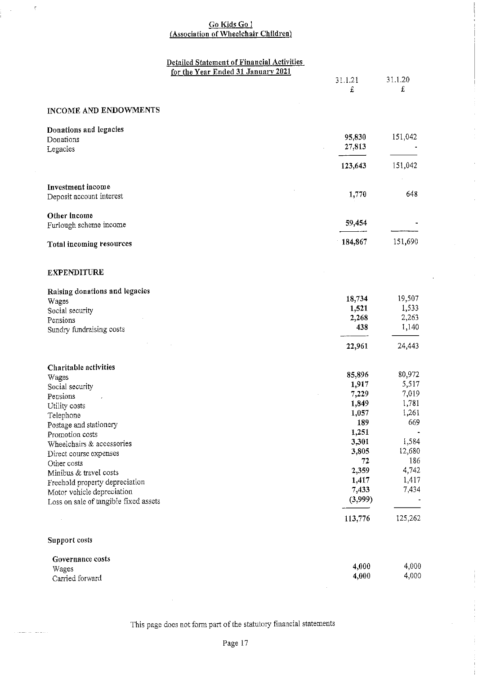# <u>Go Kids Go I</u> <u>Association of Wheelchair Childre</u>

 $\bar{z}$ 

 $\bar{z}$ 

 $\mathcal{L}$ 

 $\mathbf{I}$ 

|                                       | Detailed Statement of Financial Activities<br>for the Year Ended 31 January 2021 |             |         |
|---------------------------------------|----------------------------------------------------------------------------------|-------------|---------|
|                                       |                                                                                  | 31.1.21     | 31.1.20 |
|                                       |                                                                                  | £           | £       |
|                                       |                                                                                  |             |         |
| INCOME AND ENDOWMENTS                 |                                                                                  |             |         |
| Donations and legacies                |                                                                                  |             |         |
| Donations                             |                                                                                  | 95,830      | 151,042 |
| Legacies                              |                                                                                  | 27,813      |         |
|                                       |                                                                                  | 123,643     | 151,042 |
|                                       |                                                                                  |             |         |
| Investment income                     |                                                                                  | 1,770       | 648     |
| Deposit account interest              |                                                                                  |             |         |
| Other income                          |                                                                                  |             |         |
| Furlough scheme income                |                                                                                  | 59,454      |         |
| Total incoming resources              |                                                                                  | 184,867     | 151,690 |
|                                       |                                                                                  |             |         |
| <b>EXPENDITURE</b>                    |                                                                                  |             |         |
| Raising donations and legacies        |                                                                                  |             |         |
| Wages                                 |                                                                                  | 18,734      | 19,507  |
| Social security                       |                                                                                  | 1,521       | 1,533   |
| Pensions                              |                                                                                  | 2,268       | 2,263   |
| Sundry fundraising costs              |                                                                                  | 438         | 1,140   |
|                                       |                                                                                  | 22,961      | 24,443  |
| Charitable activities                 |                                                                                  |             |         |
| Wages                                 |                                                                                  | 85,896      | 80,972  |
| Social security                       |                                                                                  | 1,917       | 5,517   |
| Pensions                              |                                                                                  | 7,229       | 7,019   |
| Utility costs                         |                                                                                  | 1,849       | 1,781   |
| Telephone                             |                                                                                  | 1,057       | 1,261   |
| Postage and stationery                |                                                                                  | 189         | 669     |
| Promotion costs                       |                                                                                  | 1,251       |         |
| Wheelchairs & accessories             |                                                                                  | 3,301       | 1,584   |
| Direct course expenses                |                                                                                  | 3,805       | 12,680  |
| Other costs                           |                                                                                  | $\sqrt{72}$ | 186     |
| Minibus & travel costs                |                                                                                  | 2,359       | 4,742   |
| Freehold property depreciation        |                                                                                  | 1,417       | 1,417   |
| Motor vehicle depreciation            |                                                                                  | 7,433       | 7,434   |
| Loss on sale of tangible fixed assets |                                                                                  | (3,999)     |         |
|                                       |                                                                                  | 113,776     | 125,262 |
| Support costs                         |                                                                                  |             |         |
| Governance costs                      |                                                                                  |             |         |
| Wages                                 |                                                                                  | 4,000       | 4,000   |
| Carried forward                       |                                                                                  | 4,000       | 4,000   |

This page does not form part of the statutory financial statements

 $\bar{z}$ 

Carried forwar

المتعاطف المتابعين

 $\frac{1}{2}$ 

 $\langle \cdot \rangle$